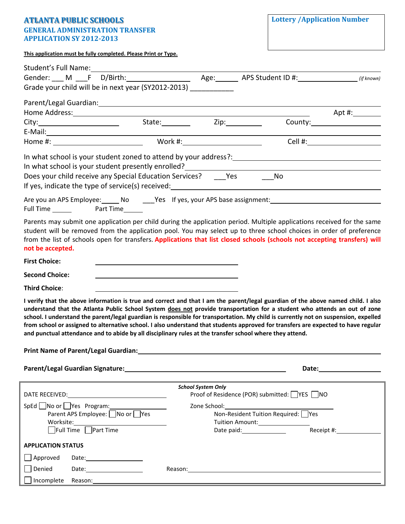## **ATLANTA PUBLIC SCHOOLS GENERAL ADMINISTRATION TRANSFER APPLICATION SY 2012-2013**

| This application must be fully completed. Please Print or Type. |  |  |  |
|-----------------------------------------------------------------|--|--|--|
|                                                                 |  |  |  |

|                                  | Gender: ___ M ___F D/Birth: ___________________ Age: ______ APS Student ID #: _______________ (if known)                                                                                                                                                                  |                                                                                                                                                                                                                                |                                                                                                      |                                                                                                                                                                                                                                |
|----------------------------------|---------------------------------------------------------------------------------------------------------------------------------------------------------------------------------------------------------------------------------------------------------------------------|--------------------------------------------------------------------------------------------------------------------------------------------------------------------------------------------------------------------------------|------------------------------------------------------------------------------------------------------|--------------------------------------------------------------------------------------------------------------------------------------------------------------------------------------------------------------------------------|
|                                  | Grade your child will be in next year (SY2012-2013) ___________                                                                                                                                                                                                           |                                                                                                                                                                                                                                |                                                                                                      |                                                                                                                                                                                                                                |
|                                  |                                                                                                                                                                                                                                                                           |                                                                                                                                                                                                                                |                                                                                                      |                                                                                                                                                                                                                                |
|                                  |                                                                                                                                                                                                                                                                           |                                                                                                                                                                                                                                |                                                                                                      |                                                                                                                                                                                                                                |
|                                  |                                                                                                                                                                                                                                                                           |                                                                                                                                                                                                                                |                                                                                                      |                                                                                                                                                                                                                                |
|                                  |                                                                                                                                                                                                                                                                           |                                                                                                                                                                                                                                |                                                                                                      |                                                                                                                                                                                                                                |
|                                  |                                                                                                                                                                                                                                                                           |                                                                                                                                                                                                                                |                                                                                                      |                                                                                                                                                                                                                                |
|                                  |                                                                                                                                                                                                                                                                           |                                                                                                                                                                                                                                |                                                                                                      |                                                                                                                                                                                                                                |
|                                  |                                                                                                                                                                                                                                                                           |                                                                                                                                                                                                                                |                                                                                                      |                                                                                                                                                                                                                                |
|                                  | In what school is your student presently enrolled?_______________________________<br>Does your child receive any Special Education Services? _______Yes ____________No                                                                                                    |                                                                                                                                                                                                                                |                                                                                                      |                                                                                                                                                                                                                                |
|                                  |                                                                                                                                                                                                                                                                           |                                                                                                                                                                                                                                |                                                                                                      |                                                                                                                                                                                                                                |
|                                  | Are you an APS Employee: ______ No ______Yes lf yes, your APS base assignment: _______________________________                                                                                                                                                            |                                                                                                                                                                                                                                |                                                                                                      |                                                                                                                                                                                                                                |
|                                  |                                                                                                                                                                                                                                                                           |                                                                                                                                                                                                                                |                                                                                                      |                                                                                                                                                                                                                                |
|                                  | Parents may submit one application per child during the application period. Multiple applications received for the same                                                                                                                                                   |                                                                                                                                                                                                                                |                                                                                                      |                                                                                                                                                                                                                                |
|                                  | student will be removed from the application pool. You may select up to three school choices in order of preference                                                                                                                                                       |                                                                                                                                                                                                                                |                                                                                                      |                                                                                                                                                                                                                                |
|                                  | from the list of schools open for transfers. Applications that list closed schools (schools not accepting transfers) will                                                                                                                                                 |                                                                                                                                                                                                                                |                                                                                                      |                                                                                                                                                                                                                                |
| not be accepted.                 |                                                                                                                                                                                                                                                                           |                                                                                                                                                                                                                                |                                                                                                      |                                                                                                                                                                                                                                |
| <b>First Choice:</b>             |                                                                                                                                                                                                                                                                           |                                                                                                                                                                                                                                |                                                                                                      |                                                                                                                                                                                                                                |
| <b>Second Choice:</b>            |                                                                                                                                                                                                                                                                           |                                                                                                                                                                                                                                |                                                                                                      |                                                                                                                                                                                                                                |
| <b>Third Choice:</b>             |                                                                                                                                                                                                                                                                           |                                                                                                                                                                                                                                |                                                                                                      |                                                                                                                                                                                                                                |
|                                  | I verify that the above information is true and correct and that I am the parent/legal guardian of the above named child. I also                                                                                                                                          |                                                                                                                                                                                                                                |                                                                                                      |                                                                                                                                                                                                                                |
|                                  | understand that the Atlanta Public School System does not provide transportation for a student who attends an out of zone                                                                                                                                                 |                                                                                                                                                                                                                                |                                                                                                      |                                                                                                                                                                                                                                |
|                                  | school. I understand the parent/legal guardian is responsible for transportation. My child is currently not on suspension, expelled<br>from school or assigned to alternative school. I also understand that students approved for transfers are expected to have regular |                                                                                                                                                                                                                                |                                                                                                      |                                                                                                                                                                                                                                |
|                                  | and punctual attendance and to abide by all disciplinary rules at the transfer school where they attend.                                                                                                                                                                  |                                                                                                                                                                                                                                |                                                                                                      |                                                                                                                                                                                                                                |
|                                  |                                                                                                                                                                                                                                                                           |                                                                                                                                                                                                                                |                                                                                                      |                                                                                                                                                                                                                                |
|                                  |                                                                                                                                                                                                                                                                           |                                                                                                                                                                                                                                |                                                                                                      |                                                                                                                                                                                                                                |
|                                  |                                                                                                                                                                                                                                                                           |                                                                                                                                                                                                                                |                                                                                                      | Date: the contract of the contract of the contract of the contract of the contract of the contract of the contract of the contract of the contract of the contract of the contract of the contract of the contract of the cont |
|                                  |                                                                                                                                                                                                                                                                           |                                                                                                                                                                                                                                |                                                                                                      |                                                                                                                                                                                                                                |
|                                  |                                                                                                                                                                                                                                                                           | <b>School System Only</b>                                                                                                                                                                                                      |                                                                                                      |                                                                                                                                                                                                                                |
|                                  |                                                                                                                                                                                                                                                                           |                                                                                                                                                                                                                                | Proof of Residence (POR) submitted: VES NO                                                           |                                                                                                                                                                                                                                |
| $SpEd$ No or $\Box$ Yes Program: |                                                                                                                                                                                                                                                                           | Zone School: The School School School School School School School School School School School School School School School School School School School School School School School School School School School School School Sc |                                                                                                      |                                                                                                                                                                                                                                |
| Parent APS Employee: No or Yes   |                                                                                                                                                                                                                                                                           |                                                                                                                                                                                                                                | Non-Resident Tuition Required: Ves                                                                   |                                                                                                                                                                                                                                |
| Full Time Part Time              | $\text{Worksite:}\qquad \qquad \overbrace{\qquad \qquad }^{ \qquad \qquad }$                                                                                                                                                                                              |                                                                                                                                                                                                                                | Tuition Amount:<br>Date paid: <u>contract and a Receipt #: contract and a Receipt #:</u>             |                                                                                                                                                                                                                                |
| <b>APPLICATION STATUS</b>        |                                                                                                                                                                                                                                                                           |                                                                                                                                                                                                                                |                                                                                                      |                                                                                                                                                                                                                                |
| $\Box$ Approved                  |                                                                                                                                                                                                                                                                           |                                                                                                                                                                                                                                |                                                                                                      |                                                                                                                                                                                                                                |
| Denied                           |                                                                                                                                                                                                                                                                           |                                                                                                                                                                                                                                | Reason: 2008 2009 2010 2020 2020 2020 2021 2021 2022 2021 2022 2021 2022 2022 2021 2022 2021 2022 20 |                                                                                                                                                                                                                                |
| $\Box$ Incomplete                |                                                                                                                                                                                                                                                                           |                                                                                                                                                                                                                                |                                                                                                      |                                                                                                                                                                                                                                |
|                                  |                                                                                                                                                                                                                                                                           |                                                                                                                                                                                                                                |                                                                                                      |                                                                                                                                                                                                                                |